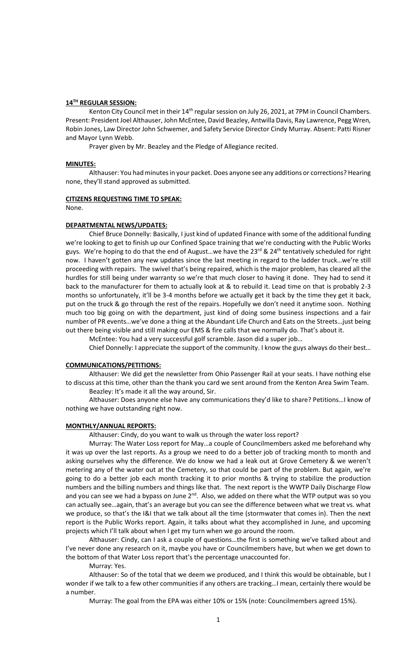## **14TH REGULAR SESSION:**

Kenton City Council met in their 14<sup>th</sup> regular session on July 26, 2021, at 7PM in Council Chambers. Present: President Joel Althauser, John McEntee, David Beazley, Antwilla Davis, Ray Lawrence, Pegg Wren, Robin Jones, Law Director John Schwemer, and Safety Service Director Cindy Murray. Absent: Patti Risner and Mayor Lynn Webb.

Prayer given by Mr. Beazley and the Pledge of Allegiance recited.

## **MINUTES:**

Althauser: You had minutes in your packet. Does anyone see any additions or corrections? Hearing none, they'll stand approved as submitted.

#### **CITIZENS REQUESTING TIME TO SPEAK:**

None.

## **DEPARTMENTAL NEWS/UPDATES:**

Chief Bruce Donnelly: Basically, I just kind of updated Finance with some of the additional funding we're looking to get to finish up our Confined Space training that we're conducting with the Public Works guys. We're hoping to do that the end of August...we have the 23<sup>rd</sup> & 24<sup>th</sup> tentatively scheduled for right now. I haven't gotten any new updates since the last meeting in regard to the ladder truck…we're still proceeding with repairs. The swivel that's being repaired, which is the major problem, has cleared all the hurdles for still being under warranty so we're that much closer to having it done. They had to send it back to the manufacturer for them to actually look at & to rebuild it. Lead time on that is probably 2-3 months so unfortunately, it'll be 3-4 months before we actually get it back by the time they get it back, put on the truck & go through the rest of the repairs. Hopefully we don't need it anytime soon. Nothing much too big going on with the department, just kind of doing some business inspections and a fair number of PR events…we've done a thing at the Abundant Life Church and Eats on the Streets…just being out there being visible and still making our EMS & fire calls that we normally do. That's about it.

McEntee: You had a very successful golf scramble. Jason did a super job…

Chief Donnelly: I appreciate the support of the community. I know the guys always do their best…

# **COMMUNICATIONS/PETITIONS:**

Althauser: We did get the newsletter from Ohio Passenger Rail at your seats. I have nothing else to discuss at this time, other than the thank you card we sent around from the Kenton Area Swim Team. Beazley: It's made it all the way around, Sir.

Althauser: Does anyone else have any communications they'd like to share? Petitions…I know of nothing we have outstanding right now.

### **MONTHLY/ANNUAL REPORTS:**

Althauser: Cindy, do you want to walk us through the water loss report?

Murray: The Water Loss report for May…a couple of Councilmembers asked me beforehand why it was up over the last reports. As a group we need to do a better job of tracking month to month and asking ourselves why the difference. We do know we had a leak out at Grove Cemetery & we weren't metering any of the water out at the Cemetery, so that could be part of the problem. But again, we're going to do a better job each month tracking it to prior months & trying to stabilize the production numbers and the billing numbers and things like that. The next report is the WWTP Daily Discharge Flow and you can see we had a bypass on June  $2^{nd}$ . Also, we added on there what the WTP output was so you can actually see…again, that's an average but you can see the difference between what we treat vs. what we produce, so that's the I&I that we talk about all the time (stormwater that comes in). Then the next report is the Public Works report. Again, it talks about what they accomplished in June, and upcoming projects which I'll talk about when I get my turn when we go around the room.

Althauser: Cindy, can I ask a couple of questions…the first is something we've talked about and I've never done any research on it, maybe you have or Councilmembers have, but when we get down to the bottom of that Water Loss report that's the percentage unaccounted for.

Murray: Yes.

Althauser: So of the total that we deem we produced, and I think this would be obtainable, but I wonder if we talk to a few other communities if any others are tracking…I mean, certainly there would be a number.

Murray: The goal from the EPA was either 10% or 15% (note: Councilmembers agreed 15%).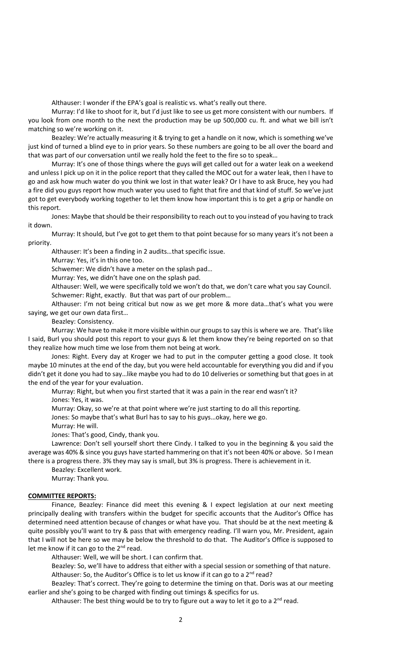Althauser: I wonder if the EPA's goal is realistic vs. what's really out there.

Murray: I'd like to shoot for it, but I'd just like to see us get more consistent with our numbers. If you look from one month to the next the production may be up 500,000 cu. ft. and what we bill isn't matching so we're working on it.

Beazley: We're actually measuring it & trying to get a handle on it now, which is something we've just kind of turned a blind eye to in prior years. So these numbers are going to be all over the board and that was part of our conversation until we really hold the feet to the fire so to speak…

Murray: It's one of those things where the guys will get called out for a water leak on a weekend and unless I pick up on it in the police report that they called the MOC out for a water leak, then I have to go and ask how much water do you think we lost in that water leak? Or I have to ask Bruce, hey you had a fire did you guys report how much water you used to fight that fire and that kind of stuff. So we've just got to get everybody working together to let them know how important this is to get a grip or handle on this report.

Jones: Maybe that should be their responsibility to reach out to you instead of you having to track it down.

Murray: It should, but I've got to get them to that point because for so many years it's not been a priority.

Althauser: It's been a finding in 2 audits…that specific issue.

Murray: Yes, it's in this one too.

Schwemer: We didn't have a meter on the splash pad…

Murray: Yes, we didn't have one on the splash pad.

Althauser: Well, we were specifically told we won't do that, we don't care what you say Council. Schwemer: Right, exactly. But that was part of our problem…

Althauser: I'm not being critical but now as we get more & more data…that's what you were saying, we get our own data first…

Beazley: Consistency.

Murray: We have to make it more visible within our groups to say this is where we are. That's like I said, Burl you should post this report to your guys & let them know they're being reported on so that they realize how much time we lose from them not being at work.

Jones: Right. Every day at Kroger we had to put in the computer getting a good close. It took maybe 10 minutes at the end of the day, but you were held accountable for everything you did and if you didn't get it done you had to say…like maybe you had to do 10 deliveries or something but that goes in at the end of the year for your evaluation.

Murray: Right, but when you first started that it was a pain in the rear end wasn't it? Jones: Yes, it was.

Murray: Okay, so we're at that point where we're just starting to do all this reporting.

Jones: So maybe that's what Burl has to say to his guys…okay, here we go.

Murray: He will.

Jones: That's good, Cindy, thank you.

Lawrence: Don't sell yourself short there Cindy. I talked to you in the beginning & you said the average was 40% & since you guys have started hammering on that it's not been 40% or above. So I mean there is a progress there. 3% they may say is small, but 3% is progress. There is achievement in it.

Beazley: Excellent work.

Murray: Thank you.

# **COMMITTEE REPORTS:**

Finance, Beazley: Finance did meet this evening & I expect legislation at our next meeting principally dealing with transfers within the budget for specific accounts that the Auditor's Office has determined need attention because of changes or what have you. That should be at the next meeting & quite possibly you'll want to try & pass that with emergency reading. I'll warn you, Mr. President, again that I will not be here so we may be below the threshold to do that. The Auditor's Office is supposed to let me know if it can go to the  $2^{nd}$  read.

Althauser: Well, we will be short. I can confirm that.

Beazley: So, we'll have to address that either with a special session or something of that nature. Althauser: So, the Auditor's Office is to let us know if it can go to a  $2^{nd}$  read?

Beazley: That's correct. They're going to determine the timing on that. Doris was at our meeting earlier and she's going to be charged with finding out timings & specifics for us.

Althauser: The best thing would be to try to figure out a way to let it go to a  $2^{nd}$  read.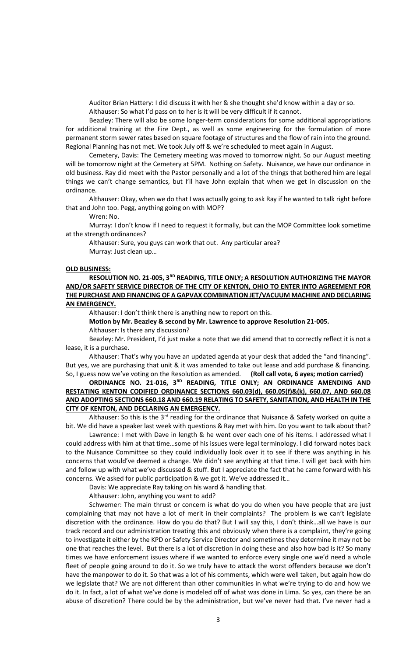Auditor Brian Hattery: I did discuss it with her & she thought she'd know within a day or so.

Althauser: So what I'd pass on to her is it will be very difficult if it cannot.

Beazley: There will also be some longer-term considerations for some additional appropriations for additional training at the Fire Dept., as well as some engineering for the formulation of more permanent storm sewer rates based on square footage of structures and the flow of rain into the ground. Regional Planning has not met. We took July off & we're scheduled to meet again in August.

Cemetery, Davis: The Cemetery meeting was moved to tomorrow night. So our August meeting will be tomorrow night at the Cemetery at 5PM. Nothing on Safety. Nuisance, we have our ordinance in old business. Ray did meet with the Pastor personally and a lot of the things that bothered him are legal things we can't change semantics, but I'll have John explain that when we get in discussion on the ordinance.

Althauser: Okay, when we do that I was actually going to ask Ray if he wanted to talk right before that and John too. Pegg, anything going on with MOP?

Wren: No.

Murray: I don't know if I need to request it formally, but can the MOP Committee look sometime at the strength ordinances?

Althauser: Sure, you guys can work that out. Any particular area? Murray: Just clean up…

### **OLD BUSINESS:**

**RESOLUTION NO. 21-005, 3RD READING, TITLE ONLY; A RESOLUTION AUTHORIZING THE MAYOR AND/OR SAFETY SERVICE DIRECTOR OF THE CITY OF KENTON, OHIO TO ENTER INTO AGREEMENT FOR THE PURCHASE AND FINANCING OF A GAPVAX COMBINATION JET/VACUUM MACHINE AND DECLARING AN EMERGENCY.**

Althauser: I don't think there is anything new to report on this.

**Motion by Mr. Beazley & second by Mr. Lawrence to approve Resolution 21-005.**

Althauser: Is there any discussion?

Beazley: Mr. President, I'd just make a note that we did amend that to correctly reflect it is not a lease, it is a purchase.

Althauser: That's why you have an updated agenda at your desk that added the "and financing". But yes, we are purchasing that unit & it was amended to take out lease and add purchase & financing. So, I guess now we've voting on the Resolution as amended. **(Roll call vote, 6 ayes; motion carried)**

**ORDINANCE NO. 21-016, 3RD READING, TITLE ONLY; AN ORDINANCE AMENDING AND RESTATING KENTON CODIFIED ORDINANCE SECTIONS 660.03(d), 660.05(f)&(k), 660.07, AND 660.08 AND ADOPTING SECTIONS 660.18 AND 660.19 RELATING TO SAFETY, SANITATION, AND HEALTH IN THE CITY OF KENTON, AND DECLARING AN EMERGENCY.**

Althauser: So this is the  $3^{rd}$  reading for the ordinance that Nuisance & Safety worked on quite a bit. We did have a speaker last week with questions & Ray met with him. Do you want to talk about that?

Lawrence: I met with Dave in length & he went over each one of his items. I addressed what I could address with him at that time…some of his issues were legal terminology. I did forward notes back to the Nuisance Committee so they could individually look over it to see if there was anything in his concerns that would've deemed a change. We didn't see anything at that time. I will get back with him and follow up with what we've discussed & stuff. But I appreciate the fact that he came forward with his concerns. We asked for public participation & we got it. We've addressed it…

Davis: We appreciate Ray taking on his ward & handling that.

Althauser: John, anything you want to add?

Schwemer: The main thrust or concern is what do you do when you have people that are just complaining that may not have a lot of merit in their complaints? The problem is we can't legislate discretion with the ordinance. How do you do that? But I will say this, I don't think…all we have is our track record and our administration treating this and obviously when there is a complaint, they're going to investigate it either by the KPD or Safety Service Director and sometimes they determine it may not be one that reaches the level. But there is a lot of discretion in doing these and also how bad is it? So many times we have enforcement issues where if we wanted to enforce every single one we'd need a whole fleet of people going around to do it. So we truly have to attack the worst offenders because we don't have the manpower to do it. So that was a lot of his comments, which were well taken, but again how do we legislate that? We are not different than other communities in what we're trying to do and how we do it. In fact, a lot of what we've done is modeled off of what was done in Lima. So yes, can there be an abuse of discretion? There could be by the administration, but we've never had that. I've never had a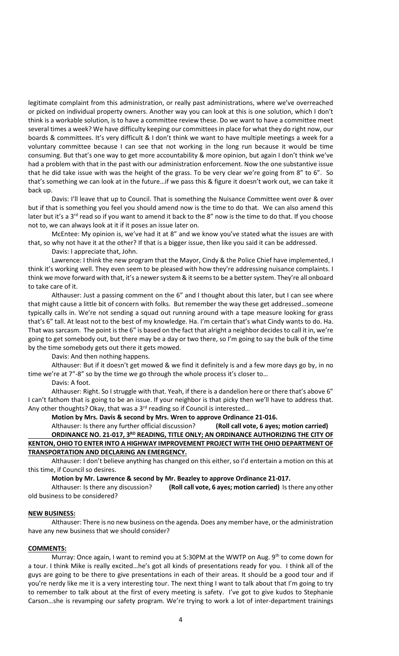legitimate complaint from this administration, or really past administrations, where we've overreached or picked on individual property owners. Another way you can look at this is one solution, which I don't think is a workable solution, is to have a committee review these. Do we want to have a committee meet several times a week? We have difficulty keeping our committees in place for what they do right now, our boards & committees. It's very difficult & I don't think we want to have multiple meetings a week for a voluntary committee because I can see that not working in the long run because it would be time consuming. But that's one way to get more accountability & more opinion, but again I don't think we've had a problem with that in the past with our administration enforcement. Now the one substantive issue that he did take issue with was the height of the grass. To be very clear we're going from 8" to 6". So that's something we can look at in the future…if we pass this & figure it doesn't work out, we can take it back up.

Davis: I'll leave that up to Council. That is something the Nuisance Committee went over & over but if that is something you feel you should amend now is the time to do that. We can also amend this later but it's a 3<sup>rd</sup> read so if you want to amend it back to the 8" now is the time to do that. If you choose not to, we can always look at it if it poses an issue later on.

McEntee: My opinion is, we've had it at 8" and we know you've stated what the issues are with that, so why not have it at the other? If that is a bigger issue, then like you said it can be addressed.

Davis: I appreciate that, John.

Lawrence: I think the new program that the Mayor, Cindy & the Police Chief have implemented, I think it's working well. They even seem to be pleased with how they're addressing nuisance complaints. I think we move forward with that, it's a newer system & it seems to be a better system. They're all onboard to take care of it.

Althauser: Just a passing comment on the 6" and I thought about this later, but I can see where that might cause a little bit of concern with folks. But remember the way these get addressed…someone typically calls in. We're not sending a squad out running around with a tape measure looking for grass that's 6" tall. At least not to the best of my knowledge. Ha. I'm certain that's what Cindy wants to do. Ha. That was sarcasm. The point is the 6" is based on the fact that alright a neighbor decides to call it in, we're going to get somebody out, but there may be a day or two there, so I'm going to say the bulk of the time by the time somebody gets out there it gets mowed.

Davis: And then nothing happens.

Althauser: But if it doesn't get mowed & we find it definitely is and a few more days go by, in no time we're at 7"-8" so by the time we go through the whole process it's closer to…

## Davis: A foot.

Althauser: Right. So I struggle with that. Yeah, if there is a dandelion here or there that's above 6" I can't fathom that is going to be an issue. If your neighbor is that picky then we'll have to address that. Any other thoughts? Okay, that was a  $3<sup>rd</sup>$  reading so if Council is interested...

### **Motion by Mrs. Davis & second by Mrs. Wren to approve Ordinance 21-016.**

Althauser: Is there any further official discussion? **(Roll call vote, 6 ayes; motion carried) ORDINANCE NO. 21-017, 3<sup>RD</sup> READING, TITLE ONLY; AN ORDINANCE AUTHORIZING THE CITY OF KENTON, OHIO TO ENTER INTO A HIGHWAY IMPROVEMENT PROJECT WITH THE OHIO DEPARTMENT OF TRANSPORTATION AND DECLARING AN EMERGENCY.**

Althauser: I don't believe anything has changed on this either, so I'd entertain a motion on this at this time, if Council so desires.

**Motion by Mr. Lawrence & second by Mr. Beazley to approve Ordinance 21-017.**

Althauser: Is there any discussion? **(Roll call vote, 6 ayes; motion carried)** Is there any other old business to be considered?

## **NEW BUSINESS:**

Althauser: There is no new business on the agenda. Does any member have, or the administration have any new business that we should consider?

# **COMMENTS:**

Murray: Once again, I want to remind you at 5:30PM at the WWTP on Aug. 9<sup>th</sup> to come down for a tour. I think Mike is really excited…he's got all kinds of presentations ready for you. I think all of the guys are going to be there to give presentations in each of their areas. It should be a good tour and if you're nerdy like me it is a very interesting tour. The next thing I want to talk about that I'm going to try to remember to talk about at the first of every meeting is safety. I've got to give kudos to Stephanie Carson…she is revamping our safety program. We're trying to work a lot of inter-department trainings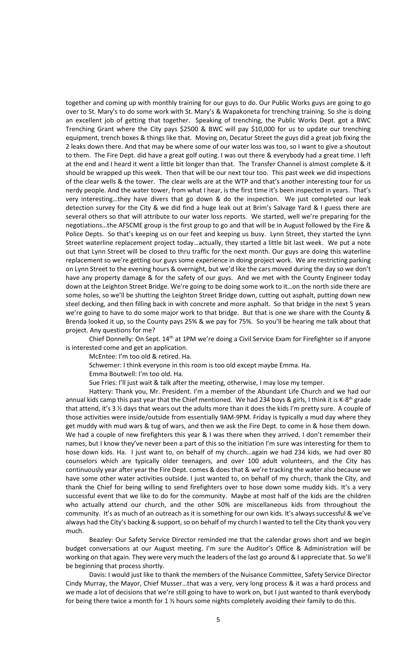together and coming up with monthly training for our guys to do. Our Public Works guys are going to go over to St. Mary's to do some work with St. Mary's & Wapakoneta for trenching training. So she is doing an excellent job of getting that together. Speaking of trenching, the Public Works Dept. got a BWC Trenching Grant where the City pays \$2500 & BWC will pay \$10,000 for us to update our trenching equipment, trench boxes & things like that. Moving on, Decatur Street the guys did a great job fixing the 2 leaks down there. And that may be where some of our water loss was too, so I want to give a shoutout to them. The Fire Dept. did have a great golf outing. I was out there & everybody had a great time. I left at the end and I heard it went a little bit longer than that. The Transfer Channel is almost complete & it should be wrapped up this week. Then that will be our next tour too. This past week we did inspections of the clear wells & the tower. The clear wells are at the WTP and that's another interesting tour for us nerdy people. And the water tower, from what I hear, is the first time it's been inspected in years. That's very interesting…they have divers that go down & do the inspection. We just completed our leak detection survey for the City & we did find a huge leak out at Brim's Salvage Yard & I guess there are several others so that will attribute to our water loss reports. We started, well we're preparing for the negotiations…the AFSCME group is the first group to go and that will be in August followed by the Fire & Police Depts. So that's keeping us on our feet and keeping us busy. Lynn Street, they started the Lynn Street waterline replacement project today…actually, they started a little bit last week. We put a note out that Lynn Street will be closed to thru traffic for the next month. Our guys are doing this waterline replacement so we're getting our guys some experience in doing project work. We are restricting parking on Lynn Street to the evening hours & overnight, but we'd like the cars moved during the day so we don't have any property damage & for the safety of our guys. And we met with the County Engineer today down at the Leighton Street Bridge. We're going to be doing some work to it…on the north side there are some holes, so we'll be shutting the Leighton Street Bridge down, cutting out asphalt, putting down new steel decking, and then filling back in with concrete and more asphalt. So that bridge in the next 5 years we're going to have to do some major work to that bridge. But that is one we share with the County & Brenda looked it up, so the County pays 25% & we pay for 75%. So you'll be hearing me talk about that project. Any questions for me?

Chief Donnelly: On Sept. 14<sup>th</sup> at 1PM we're doing a Civil Service Exam for Firefighter so if anyone is interested come and get an application.

McEntee: I'm too old & retired. Ha.

Schwemer: I think everyone in this room is too old except maybe Emma. Ha.

Emma Boutwell: I'm too old. Ha.

Sue Fries: I'll just wait & talk after the meeting, otherwise, I may lose my temper.

Hattery: Thank you, Mr. President. I'm a member of the Abundant Life Church and we had our annual kids camp this past year that the Chief mentioned. We had 234 boys & girls, I think it is K-8<sup>th</sup> grade that attend, it's 3 ½ days that wears out the adults more than it does the kids I'm pretty sure. A couple of those activities were inside/outside from essentially 9AM-9PM. Friday is typically a mud day where they get muddy with mud wars & tug of wars, and then we ask the Fire Dept. to come in & hose them down. We had a couple of new firefighters this year & I was there when they arrived. I don't remember their names, but I know they've never been a part of this so the initiation I'm sure was interesting for them to hose down kids. Ha. I just want to, on behalf of my church…again we had 234 kids, we had over 80 counselors which are typically older teenagers, and over 100 adult volunteers, and the City has continuously year after year the Fire Dept. comes & does that & we're tracking the water also because we have some other water activities outside. I just wanted to, on behalf of my church, thank the City, and thank the Chief for being willing to send firefighters over to hose down some muddy kids. It's a very successful event that we like to do for the community. Maybe at most half of the kids are the children who actually attend our church, and the other 50% are miscellaneous kids from throughout the community. It's as much of an outreach as it is something for our own kids. It's always successful & we've always had the City's backing & support, so on behalf of my church I wanted to tell the City thank you very much.

Beazley: Our Safety Service Director reminded me that the calendar grows short and we begin budget conversations at our August meeting. I'm sure the Auditor's Office & Administration will be working on that again. They were very much the leaders of the last go around & I appreciate that. So we'll be beginning that process shortly.

Davis: I would just like to thank the members of the Nuisance Committee, Safety Service Director Cindy Murray, the Mayor, Chief Musser…that was a very, very long process & it was a hard process and we made a lot of decisions that we're still going to have to work on, but I just wanted to thank everybody for being there twice a month for  $1 \frac{1}{2}$  hours some nights completely avoiding their family to do this.